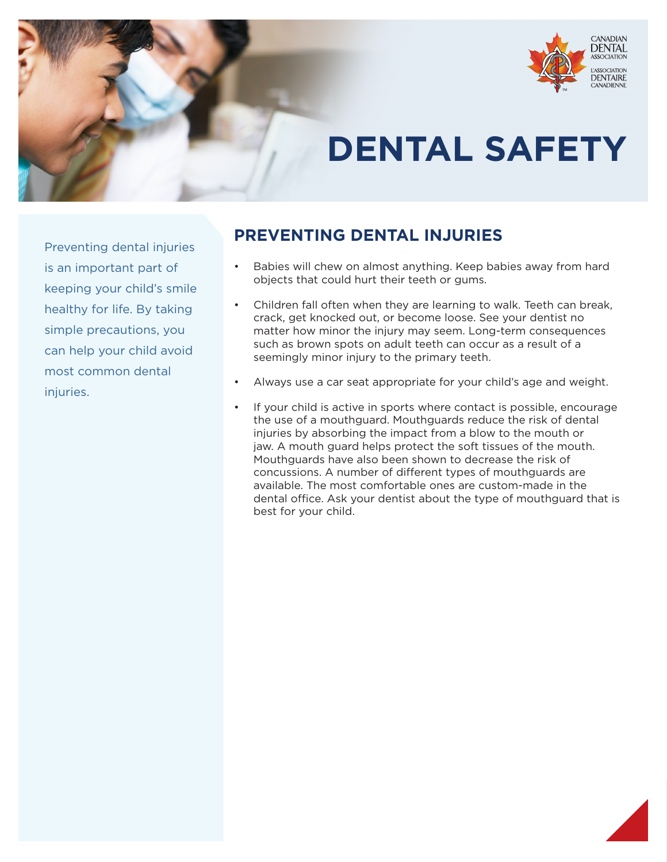

# **DENTAL SAFETY**

Preventing dental injuries is an important part of keeping your child's smile healthy for life. By taking simple precautions, you can help your child avoid most common dental injuries.

# **PREVENTING DENTAL INJURIES**

- Babies will chew on almost anything. Keep babies away from hard objects that could hurt their teeth or gums.
- Children fall often when they are learning to walk. Teeth can break, crack, get knocked out, or become loose. See your dentist no matter how minor the injury may seem. Long-term consequences such as brown spots on adult teeth can occur as a result of a seemingly minor injury to the primary teeth.
- Always use a car seat appropriate for your child's age and weight.
- If your child is active in sports where contact is possible, encourage the use of a mouthguard. Mouthguards reduce the risk of dental injuries by absorbing the impact from a blow to the mouth or jaw. A mouth guard helps protect the soft tissues of the mouth. Mouthguards have also been shown to decrease the risk of concussions. A number of different types of mouthguards are available. The most comfortable ones are custom-made in the dental office. Ask your dentist about the type of mouthguard that is best for your child.